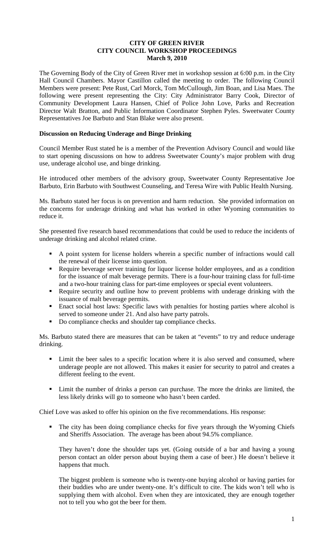### **CITY OF GREEN RIVER CITY COUNCIL WORKSHOP PROCEEDINGS March 9, 2010**

The Governing Body of the City of Green River met in workshop session at 6:00 p.m. in the City Hall Council Chambers. Mayor Castillon called the meeting to order. The following Council Members were present: Pete Rust, Carl Morck, Tom McCullough, Jim Boan, and Lisa Maes. The following were present representing the City: City Administrator Barry Cook, Director of Community Development Laura Hansen, Chief of Police John Love, Parks and Recreation Director Walt Bratton, and Public Information Coordinator Stephen Pyles. Sweetwater County Representatives Joe Barbuto and Stan Blake were also present.

## **Discussion on Reducing Underage and Binge Drinking**

Council Member Rust stated he is a member of the Prevention Advisory Council and would like to start opening discussions on how to address Sweetwater County's major problem with drug use, underage alcohol use, and binge drinking.

He introduced other members of the advisory group, Sweetwater County Representative Joe Barbuto, Erin Barbuto with Southwest Counseling, and Teresa Wire with Public Health Nursing.

Ms. Barbuto stated her focus is on prevention and harm reduction. She provided information on the concerns for underage drinking and what has worked in other Wyoming communities to reduce it.

She presented five research based recommendations that could be used to reduce the incidents of underage drinking and alcohol related crime.

- A point system for license holders wherein a specific number of infractions would call the renewal of their license into question.
- Require beverage server training for liquor license holder employees, and as a condition for the issuance of malt beverage permits. There is a four-hour training class for full-time and a two-hour training class for part-time employees or special event volunteers.
- Require security and outline how to prevent problems with underage drinking with the issuance of malt beverage permits.
- Enact social host laws: Specific laws with penalties for hosting parties where alcohol is served to someone under 21. And also have party patrols.
- Do compliance checks and shoulder tap compliance checks.

Ms. Barbuto stated there are measures that can be taken at "events" to try and reduce underage drinking.

- Limit the beer sales to a specific location where it is also served and consumed, where underage people are not allowed. This makes it easier for security to patrol and creates a different feeling to the event.
- Limit the number of drinks a person can purchase. The more the drinks are limited, the less likely drinks will go to someone who hasn't been carded.

Chief Love was asked to offer his opinion on the five recommendations. His response:

 The city has been doing compliance checks for five years through the Wyoming Chiefs and Sheriffs Association. The average has been about 94.5% compliance.

They haven't done the shoulder taps yet. (Going outside of a bar and having a young person contact an older person about buying them a case of beer.) He doesn't believe it happens that much.

The biggest problem is someone who is twenty-one buying alcohol or having parties for their buddies who are under twenty-one. It's difficult to cite. The kids won't tell who is supplying them with alcohol. Even when they are intoxicated, they are enough together not to tell you who got the beer for them.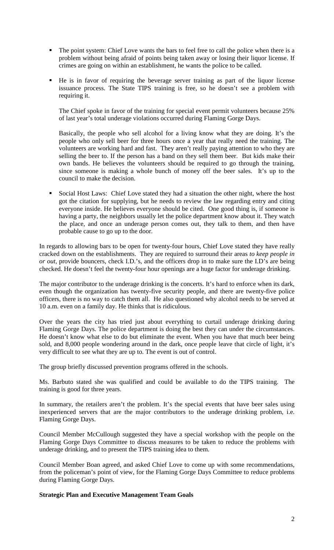- The point system: Chief Love wants the bars to feel free to call the police when there is a problem without being afraid of points being taken away or losing their liquor license. If crimes are going on within an establishment, he wants the police to be called.
- He is in favor of requiring the beverage server training as part of the liquor license issuance process. The State TIPS training is free, so he doesn't see a problem with requiring it.

The Chief spoke in favor of the training for special event permit volunteers because 25% of last year's total underage violations occurred during Flaming Gorge Days.

Basically, the people who sell alcohol for a living know what they are doing. It's the people who only sell beer for three hours once a year that really need the training. The volunteers are working hard and fast. They aren't really paying attention to who they are selling the beer to. If the person has a band on they sell them beer. But kids make their own bands. He believes the volunteers should be required to go through the training, since someone is making a whole bunch of money off the beer sales. It's up to the council to make the decision.

 Social Host Laws: Chief Love stated they had a situation the other night, where the host got the citation for supplying, but he needs to review the law regarding entry and citing everyone inside. He believes everyone should be cited. One good thing is, if someone is having a party, the neighbors usually let the police department know about it. They watch the place, and once an underage person comes out, they talk to them, and then have probable cause to go up to the door.

In regards to allowing bars to be open for twenty-four hours, Chief Love stated they have really cracked down on the establishments. They are required to surround their areas *to keep people in or out*, provide bouncers, check I.D.'s, and the officers drop in to make sure the I.D's are being checked. He doesn't feel the twenty-four hour openings are a huge factor for underage drinking.

The major contributor to the underage drinking is the concerts. It's hard to enforce when its dark, even though the organization has twenty-five security people, and there are twenty-five police officers, there is no way to catch them all. He also questioned why alcohol needs to be served at 10 a.m. even on a family day. He thinks that is ridiculous.

Over the years the city has tried just about everything to curtail underage drinking during Flaming Gorge Days. The police department is doing the best they can under the circumstances. He doesn't know what else to do but eliminate the event. When you have that much beer being sold, and 8,000 people wondering around in the dark, once people leave that circle of light, it's very difficult to see what they are up to. The event is out of control.

The group briefly discussed prevention programs offered in the schools.

Ms. Barbuto stated she was qualified and could be available to do the TIPS training. The training is good for three years.

In summary, the retailers aren't the problem. It's the special events that have beer sales using inexperienced servers that are the major contributors to the underage drinking problem, i.e. Flaming Gorge Days.

Council Member McCullough suggested they have a special workshop with the people on the Flaming Gorge Days Committee to discuss measures to be taken to reduce the problems with underage drinking, and to present the TIPS training idea to them.

Council Member Boan agreed, and asked Chief Love to come up with some recommendations, from the policeman's point of view, for the Flaming Gorge Days Committee to reduce problems during Flaming Gorge Days.

### **Strategic Plan and Executive Management Team Goals**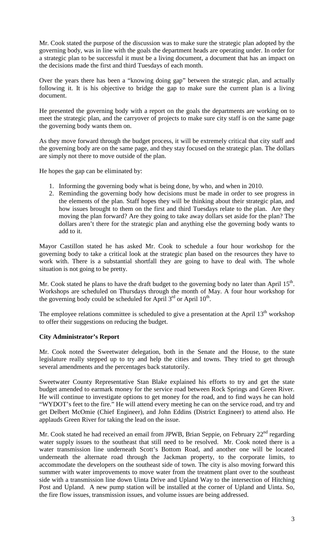Mr. Cook stated the purpose of the discussion was to make sure the strategic plan adopted by the governing body, was in line with the goals the department heads are operating under. In order for a strategic plan to be successful it must be a living document, a document that has an impact on the decisions made the first and third Tuesdays of each month.

Over the years there has been a "knowing doing gap" between the strategic plan, and actually following it. It is his objective to bridge the gap to make sure the current plan is a living document.

He presented the governing body with a report on the goals the departments are working on to meet the strategic plan, and the carryover of projects to make sure city staff is on the same page the governing body wants them on.

As they move forward through the budget process, it will be extremely critical that city staff and the governing body are on the same page, and they stay focused on the strategic plan. The dollars are simply not there to move outside of the plan.

He hopes the gap can be eliminated by:

- 1. Informing the governing body what is being done, by who, and when in 2010.
- 2. Reminding the governing body how decisions must be made in order to see progress in the elements of the plan. Staff hopes they will be thinking about their strategic plan, and how issues brought to them on the first and third Tuesdays relate to the plan. Are they moving the plan forward? Are they going to take away dollars set aside for the plan? The dollars aren't there for the strategic plan and anything else the governing body wants to add to it.

Mayor Castillon stated he has asked Mr. Cook to schedule a four hour workshop for the governing body to take a critical look at the strategic plan based on the resources they have to work with. There is a substantial shortfall they are going to have to deal with. The whole situation is not going to be pretty.

Mr. Cook stated he plans to have the draft budget to the governing body no later than April 15<sup>th</sup>. Workshops are scheduled on Thursdays through the month of May. A four hour workshop for the governing body could be scheduled for April  $3<sup>rd</sup>$  or April  $10<sup>th</sup>$ .

The employee relations committee is scheduled to give a presentation at the April  $13<sup>th</sup>$  workshop to offer their suggestions on reducing the budget.

### **City Administrator's Report**

Mr. Cook noted the Sweetwater delegation, both in the Senate and the House, to the state legislature really stepped up to try and help the cities and towns. They tried to get through several amendments and the percentages back statutorily.

Sweetwater County Representative Stan Blake explained his efforts to try and get the state budget amended to earmark money for the service road between Rock Springs and Green River. He will continue to investigate options to get money for the road, and to find ways he can hold "WYDOT's feet to the fire." He will attend every meeting he can on the service road, and try and get Delbert McOmie (Chief Engineer), and John Eddins (District Engineer) to attend also. He applauds Green River for taking the lead on the issue.

Mr. Cook stated he had received an email from JPWB, Brian Seppie, on February  $22<sup>nd</sup>$  regarding water supply issues to the southeast that still need to be resolved. Mr. Cook noted there is a water transmission line underneath Scott's Bottom Road, and another one will be located underneath the alternate road through the Jackman property, to the corporate limits, to accommodate the developers on the southeast side of town. The city is also moving forward this summer with water improvements to move water from the treatment plant over to the southeast side with a transmission line down Uinta Drive and Upland Way to the intersection of Hitching Post and Upland. A new pump station will be installed at the corner of Upland and Uinta. So, the fire flow issues, transmission issues, and volume issues are being addressed.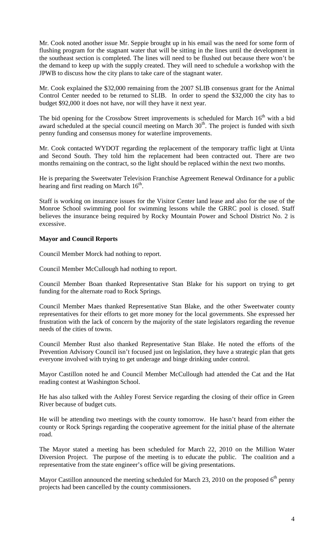Mr. Cook noted another issue Mr. Seppie brought up in his email was the need for some form of flushing program for the stagnant water that will be sitting in the lines until the development in the southeast section is completed. The lines will need to be flushed out because there won't be the demand to keep up with the supply created. They will need to schedule a workshop with the JPWB to discuss how the city plans to take care of the stagnant water.

Mr. Cook explained the \$32,000 remaining from the 2007 SLIB consensus grant for the Animal Control Center needed to be returned to SLIB. In order to spend the \$32,000 the city has to budget \$92,000 it does not have, nor will they have it next year.

The bid opening for the Crossbow Street improvements is scheduled for March  $16<sup>th</sup>$  with a bid award scheduled at the special council meeting on March  $30<sup>th</sup>$ . The project is funded with sixth penny funding and consensus money for waterline improvements.

Mr. Cook contacted WYDOT regarding the replacement of the temporary traffic light at Uinta and Second South. They told him the replacement had been contracted out. There are two months remaining on the contract, so the light should be replaced within the next two months.

He is preparing the Sweetwater Television Franchise Agreement Renewal Ordinance for a public hearing and first reading on March  $16<sup>th</sup>$ .

Staff is working on insurance issues for the Visitor Center land lease and also for the use of the Monroe School swimming pool for swimming lessons while the GRRC pool is closed. Staff believes the insurance being required by Rocky Mountain Power and School District No. 2 is excessive.

### **Mayor and Council Reports**

Council Member Morck had nothing to report.

Council Member McCullough had nothing to report.

Council Member Boan thanked Representative Stan Blake for his support on trying to get funding for the alternate road to Rock Springs.

Council Member Maes thanked Representative Stan Blake, and the other Sweetwater county representatives for their efforts to get more money for the local governments. She expressed her frustration with the lack of concern by the majority of the state legislators regarding the revenue needs of the cities of towns.

Council Member Rust also thanked Representative Stan Blake. He noted the efforts of the Prevention Advisory Council isn't focused just on legislation, they have a strategic plan that gets everyone involved with trying to get underage and binge drinking under control.

Mayor Castillon noted he and Council Member McCullough had attended the Cat and the Hat reading contest at Washington School.

He has also talked with the Ashley Forest Service regarding the closing of their office in Green River because of budget cuts.

He will be attending two meetings with the county tomorrow. He hasn't heard from either the county or Rock Springs regarding the cooperative agreement for the initial phase of the alternate road.

The Mayor stated a meeting has been scheduled for March 22, 2010 on the Million Water Diversion Project. The purpose of the meeting is to educate the public. The coalition and a representative from the state engineer's office will be giving presentations.

Mayor Castillon announced the meeting scheduled for March 23, 2010 on the proposed  $6<sup>th</sup>$  penny projects had been cancelled by the county commissioners.